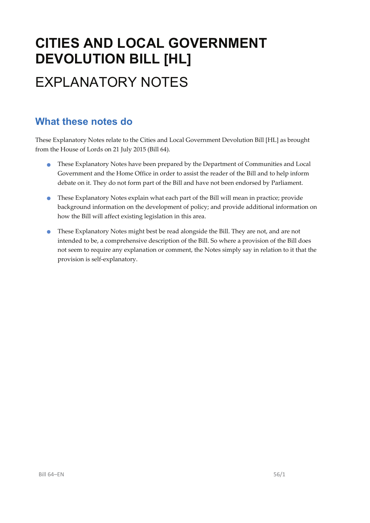# **CITIES AND LOCAL GOVERNMENT DEVOLUTION BILL [HL]**  EXPLANATORY NOTES

## **What these notes do**

- These Explanatory Notes have been prepared by the Department of Communities and Local Government and the Home Office in order to assist the reader of the Bill and to help inform debate on it. They do not form part of the Bill and have not been endorsed by Parliament.
- These Explanatory Notes explain what each part of the Bill will mean in practice; provide background information on the development of policy; and provide additional information on how the Bill will affect existing legislation in this area.
- These Explanatory Notes might best be read alongside the Bill. They are not, and are not intended to be, a comprehensive description of the Bill. So where a provision of the Bill does not seem to require any explanation or comment, the Notes simply say in relation to it that the provision is self‐explanatory.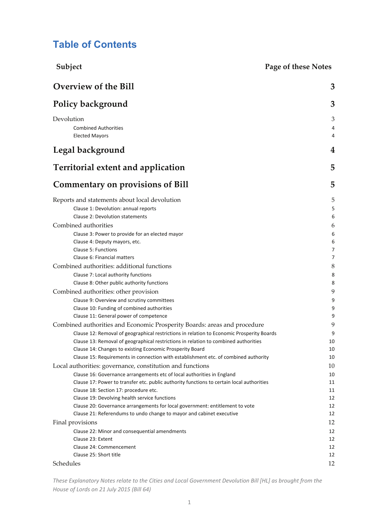## **Table of Contents**

| Subject                                                                                                                       | <b>Page of these Notes</b> |
|-------------------------------------------------------------------------------------------------------------------------------|----------------------------|
| <b>Overview of the Bill</b>                                                                                                   | 3                          |
| Policy background                                                                                                             | 3                          |
| Devolution                                                                                                                    | 3                          |
| <b>Combined Authorities</b>                                                                                                   | 4                          |
| <b>Elected Mayors</b>                                                                                                         | 4                          |
| Legal background                                                                                                              | 4                          |
| <b>Territorial extent and application</b>                                                                                     | 5                          |
| <b>Commentary on provisions of Bill</b>                                                                                       | 5                          |
| Reports and statements about local devolution                                                                                 | 5                          |
| Clause 1: Devolution: annual reports                                                                                          | 5                          |
| Clause 2: Devolution statements                                                                                               | 6                          |
| Combined authorities                                                                                                          | 6                          |
| Clause 3: Power to provide for an elected mayor                                                                               | 6                          |
| Clause 4: Deputy mayors, etc.                                                                                                 | 6                          |
| Clause 5: Functions                                                                                                           | 7                          |
| Clause 6: Financial matters                                                                                                   | 7                          |
| Combined authorities: additional functions                                                                                    | 8                          |
| Clause 7: Local authority functions                                                                                           | 8                          |
| Clause 8: Other public authority functions                                                                                    | 8                          |
| Combined authorities: other provision                                                                                         | 9                          |
| Clause 9: Overview and scrutiny committees                                                                                    | 9                          |
| Clause 10: Funding of combined authorities                                                                                    | 9                          |
| Clause 11: General power of competence                                                                                        | 9                          |
| Combined authorities and Economic Prosperity Boards: areas and procedure                                                      | 9                          |
| Clause 12: Removal of geographical restrictions in relation to Economic Prosperity Boards                                     | 9                          |
| Clause 13: Removal of geographical restrictions in relation to combined authorities                                           | 10                         |
| Clause 14: Changes to existing Economic Prosperity Board                                                                      | 10                         |
| Clause 15: Requirements in connection with establishment etc. of combined authority                                           | 10                         |
| Local authorities: governance, constitution and functions                                                                     | 10                         |
| Clause 16: Governance arrangements etc of local authorities in England                                                        | 10                         |
| Clause 17: Power to transfer etc. public authority functions to certain local authorities                                     | 11                         |
| Clause 18: Section 17: procedure etc.                                                                                         | 11                         |
| Clause 19: Devolving health service functions<br>Clause 20: Governance arrangements for local government: entitlement to vote | 12<br>12                   |
| Clause 21: Referendums to undo change to mayor and cabinet executive                                                          | 12                         |
| Final provisions                                                                                                              | 12                         |
| Clause 22: Minor and consequential amendments                                                                                 | 12                         |
| Clause 23: Extent                                                                                                             | 12                         |
| Clause 24: Commencement                                                                                                       | 12                         |
| Clause 25: Short title                                                                                                        | 12                         |
| Schedules                                                                                                                     | 12                         |
|                                                                                                                               |                            |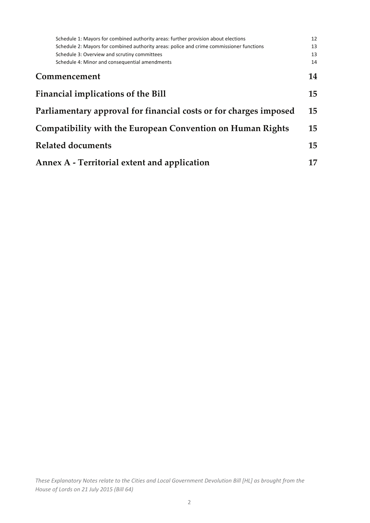| Schedule 1: Mayors for combined authority areas: further provision about elections       | 12 |
|------------------------------------------------------------------------------------------|----|
| Schedule 2: Mayors for combined authority areas: police and crime commissioner functions | 13 |
| Schedule 3: Overview and scrutiny committees                                             | 13 |
| Schedule 4: Minor and consequential amendments                                           | 14 |
| Commencement                                                                             | 14 |
| <b>Financial implications of the Bill</b>                                                | 15 |
| Parliamentary approval for financial costs or for charges imposed                        | 15 |
| Compatibility with the European Convention on Human Rights                               | 15 |
| <b>Related documents</b>                                                                 | 15 |
| Annex A - Territorial extent and application                                             | 17 |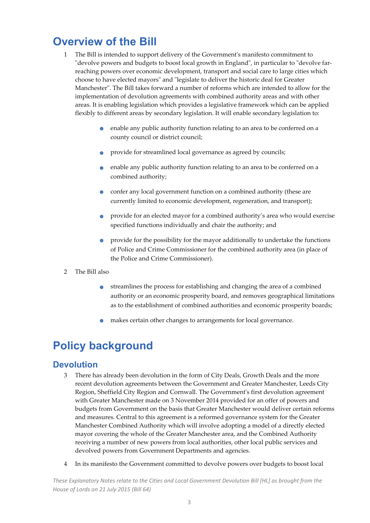## **Overview of the Bill**

- 1 The Bill is intended to support delivery of the Governmentʹs manifesto commitment to "devolve powers and budgets to boost local growth in England", in particular to "devolve farreaching powers over economic development, transport and social care to large cities which choose to have elected mayors" and "legislate to deliver the historic deal for Greater Manchester". The Bill takes forward a number of reforms which are intended to allow for the implementation of devolution agreements with combined authority areas and with other areas. It is enabling legislation which provides a legislative framework which can be applied flexibly to different areas by secondary legislation. It will enable secondary legislation to:
	- enable any public authority function relating to an area to be conferred on a county council or district council;
	- provide for streamlined local governance as agreed by councils;
	- enable any public authority function relating to an area to be conferred on <sup>a</sup> combined authority;
	- confer any local government function on <sup>a</sup> combined authority (these are currently limited to economic development, regeneration, and transport);
	- provide for an elected mayor for <sup>a</sup> combined authority's area who would exercise specified functions individually and chair the authority; and
	- provide for the possibility for the mayor additionally to undertake the functions of Police and Crime Commissioner for the combined authority area (in place of the Police and Crime Commissioner).
- 2 The Bill also
	- streamlines the process for establishing and changing the area of <sup>a</sup> combined authority or an economic prosperity board, and removes geographical limitations as to the establishment of combined authorities and economic prosperity boards;
	- makes certain other changes to arrangements for local governance.

## **Policy background**

## **Devolution**

- 3 There has already been devolution in the form of City Deals, Growth Deals and the more recent devolution agreements between the Government and Greater Manchester, Leeds City Region, Sheffield City Region and Cornwall. The Governmentʹs first devolution agreement with Greater Manchester made on 3 November 2014 provided for an offer of powers and budgets from Government on the basis that Greater Manchester would deliver certain reforms and measures. Central to this agreement is a reformed governance system for the Greater Manchester Combined Authority which will involve adopting a model of a directly elected mayor covering the whole of the Greater Manchester area, and the Combined Authority receiving a number of new powers from local authorities, other local public services and devolved powers from Government Departments and agencies.
- 4 In its manifesto the Government committed to devolve powers over budgets to boost local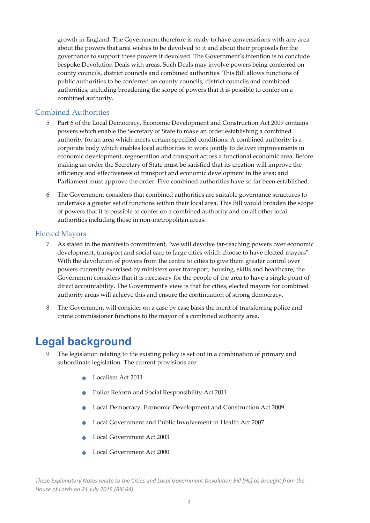growth in England. The Government therefore is ready to have conversations with any area about the powers that area wishes to be devolved to it and about their proposals for the governance to support these powers if devolved. The Governmentʹs intention is to conclude bespoke Devolution Deals with areas. Such Deals may involve powers being conferred on county councils, district councils and combined authorities. This Bill allows functions of public authorities to be conferred on county councils, district councils and combined authorities, including broadening the scope of powers that it is possible to confer on a combined authority.

#### Combined Authorities

- 5 Part 6 of the Local Democracy, Economic Development and Construction Act 2009 contains powers which enable the Secretary of State to make an order establishing a combined authority for an area which meets certain specified conditions. A combined authority is a corporate body which enables local authorities to work jointly to deliver improvements in economic development, regeneration and transport across a functional economic area. Before making an order the Secretary of State must be satisfied that its creation will improve the efficiency and effectiveness of transport and economic development in the area; and Parliament must approve the order. Five combined authorities have so far been established.
- 6 The Government considers that combined authorities are suitable governance structures to undertake a greater set of functions within their local area. This Bill would broaden the scope of powers that it is possible to confer on a combined authority and on all other local authorities including those in non‐metropolitan areas.

#### Elected Mayors

- 7 As stated in the manifesto commitment, "we will devolve far-reaching powers over economic development, transport and social care to large cities which choose to have elected mayors". With the devolution of powers from the centre to cities to give them greater control over powers currently exercised by ministers over transport, housing, skills and healthcare, the Government considers that it is necessary for the people of the area to have a single point of direct accountability. The Government's view is that for cities, elected mayors for combined authority areas will achieve this and ensure the continuation of strong democracy.
- 8 The Government will consider on a case by case basis the merit of transferring police and crime commissioner functions to the mayor of a combined authority area.

## **Legal background**

- 9 The legislation relating to the existing policy is set out in a combination of primary and subordinate legislation. The current provisions are:
	- Localism Act <sup>2011</sup>
	- Police Reform and Social Responsibility Act <sup>2011</sup>
	- Local Democracy, Economic Development and Construction Act <sup>2009</sup>
	- Local Government and Public Involvement in Health Act <sup>2007</sup>
	- Local Government Act <sup>2003</sup>
	- Local Government Act <sup>2000</sup>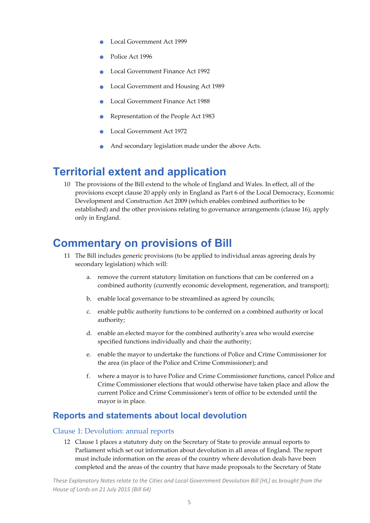- Local Government Act <sup>1999</sup>
- Police Act <sup>1996</sup>
- Local Government Finance Act <sup>1992</sup>
- Local Government and Housing Act <sup>1989</sup>
- Local Government Finance Act <sup>1988</sup>
- Representation of the People Act <sup>1983</sup>
- Local Government Act <sup>1972</sup>
- And secondary legislation made under the above Acts.

## **Territorial extent and application**

10 The provisions of the Bill extend to the whole of England and Wales. In effect, all of the provisions except clause 20 apply only in England as Part 6 of the Local Democracy, Economic Development and Construction Act 2009 (which enables combined authorities to be established) and the other provisions relating to governance arrangements (clause 16), apply only in England.

## **Commentary on provisions of Bill**

- 11 The Bill includes generic provisions (to be applied to individual areas agreeing deals by secondary legislation) which will:
	- a. remove the current statutory limitation on functions that can be conferred on a combined authority (currently economic development, regeneration, and transport);
	- b. enable local governance to be streamlined as agreed by councils;
	- c. enable public authority functions to be conferred on a combined authority or local authority;
	- d. enable an elected mayor for the combined authorityʹs area who would exercise specified functions individually and chair the authority;
	- e. enable the mayor to undertake the functions of Police and Crime Commissioner for the area (in place of the Police and Crime Commissioner); and
	- f. where a mayor is to have Police and Crime Commissioner functions, cancel Police and Crime Commissioner elections that would otherwise have taken place and allow the current Police and Crime Commissionerʹs term of office to be extended until the mayor is in place.

## **Reports and statements about local devolution**

#### Clause 1: Devolution: annual reports

12 Clause 1 places a statutory duty on the Secretary of State to provide annual reports to Parliament which set out information about devolution in all areas of England. The report must include information on the areas of the country where devolution deals have been completed and the areas of the country that have made proposals to the Secretary of State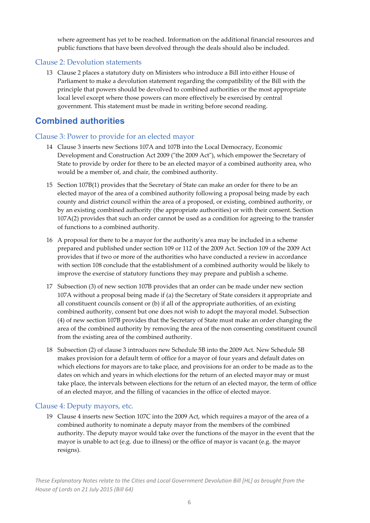where agreement has yet to be reached. Information on the additional financial resources and public functions that have been devolved through the deals should also be included.

#### Clause 2: Devolution statements

13 Clause 2 places a statutory duty on Ministers who introduce a Bill into either House of Parliament to make a devolution statement regarding the compatibility of the Bill with the principle that powers should be devolved to combined authorities or the most appropriate local level except where those powers can more effectively be exercised by central government. This statement must be made in writing before second reading.

## **Combined authorities**

## Clause 3: Power to provide for an elected mayor

- 14 Clause 3 inserts new Sections 107A and 107B into the Local Democracy, Economic Development and Construction Act 2009 ("the 2009 Act"), which empower the Secretary of State to provide by order for there to be an elected mayor of a combined authority area, who would be a member of, and chair, the combined authority.
- 15 Section 107B(1) provides that the Secretary of State can make an order for there to be an elected mayor of the area of a combined authority following a proposal being made by each county and district council within the area of a proposed, or existing, combined authority, or by an existing combined authority (the appropriate authorities) or with their consent. Section 107A(2) provides that such an order cannot be used as a condition for agreeing to the transfer of functions to a combined authority.
- 16 A proposal for there to be a mayor for the authorityʹs area may be included in a scheme prepared and published under section 109 or 112 of the 2009 Act. Section 109 of the 2009 Act provides that if two or more of the authorities who have conducted a review in accordance with section 108 conclude that the establishment of a combined authority would be likely to improve the exercise of statutory functions they may prepare and publish a scheme.
- 17 Subsection (3) of new section 107B provides that an order can be made under new section 107A without a proposal being made if (a) the Secretary of State considers it appropriate and all constituent councils consent or (b) if all of the appropriate authorities, of an existing combined authority, consent but one does not wish to adopt the mayoral model. Subsection (4) of new section 107B provides that the Secretary of State must make an order changing the area of the combined authority by removing the area of the non consenting constituent council from the existing area of the combined authority.
- 18 Subsection (2) of clause 3 introduces new Schedule 5B into the 2009 Act. New Schedule 5B makes provision for a default term of office for a mayor of four years and default dates on which elections for mayors are to take place, and provisions for an order to be made as to the dates on which and years in which elections for the return of an elected mayor may or must take place, the intervals between elections for the return of an elected mayor, the term of office of an elected mayor, and the filling of vacancies in the office of elected mayor.

## Clause 4: Deputy mayors, etc.

19 Clause 4 inserts new Section 107C into the 2009 Act, which requires a mayor of the area of a combined authority to nominate a deputy mayor from the members of the combined authority. The deputy mayor would take over the functions of the mayor in the event that the mayor is unable to act (e.g. due to illness) or the office of mayor is vacant (e.g. the mayor resigns).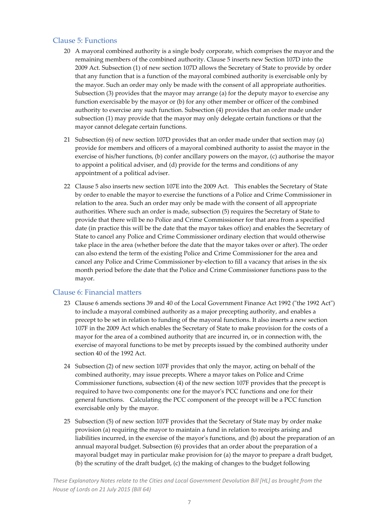### Clause 5: Functions

- 20 A mayoral combined authority is a single body corporate, which comprises the mayor and the remaining members of the combined authority. Clause 5 inserts new Section 107D into the 2009 Act. Subsection (1) of new section 107D allows the Secretary of State to provide by order that any function that is a function of the mayoral combined authority is exercisable only by the mayor. Such an order may only be made with the consent of all appropriate authorities. Subsection (3) provides that the mayor may arrange (a) for the deputy mayor to exercise any function exercisable by the mayor or (b) for any other member or officer of the combined authority to exercise any such function. Subsection (4) provides that an order made under subsection (1) may provide that the mayor may only delegate certain functions or that the mayor cannot delegate certain functions.
- 21 Subsection (6) of new section 107D provides that an order made under that section may (a) provide for members and officers of a mayoral combined authority to assist the mayor in the exercise of his/her functions, (b) confer ancillary powers on the mayor, (c) authorise the mayor to appoint a political adviser, and (d) provide for the terms and conditions of any appointment of a political adviser.
- 22 Clause 5 also inserts new section 107E into the 2009 Act. This enables the Secretary of State by order to enable the mayor to exercise the functions of a Police and Crime Commissioner in relation to the area. Such an order may only be made with the consent of all appropriate authorities. Where such an order is made, subsection (5) requires the Secretary of State to provide that there will be no Police and Crime Commissioner for that area from a specified date (in practice this will be the date that the mayor takes office) and enables the Secretary of State to cancel any Police and Crime Commissioner ordinary election that would otherwise take place in the area (whether before the date that the mayor takes over or after). The order can also extend the term of the existing Police and Crime Commissioner for the area and cancel any Police and Crime Commissioner by-election to fill a vacancy that arises in the six month period before the date that the Police and Crime Commissioner functions pass to the mayor.

## Clause 6: Financial matters

- 23 Clause 6 amends sections 39 and 40 of the Local Government Finance Act 1992 ("the 1992 Act") to include a mayoral combined authority as a major precepting authority, and enables a precept to be set in relation to funding of the mayoral functions. It also inserts a new section 107F in the 2009 Act which enables the Secretary of State to make provision for the costs of a mayor for the area of a combined authority that are incurred in, or in connection with, the exercise of mayoral functions to be met by precepts issued by the combined authority under section 40 of the 1992 Act.
- 24 Subsection (2) of new section 107F provides that only the mayor, acting on behalf of the combined authority, may issue precepts. Where a mayor takes on Police and Crime Commissioner functions, subsection (4) of the new section 107F provides that the precept is required to have two components: one for the mayor's PCC functions and one for their general functions. Calculating the PCC component of the precept will be a PCC function exercisable only by the mayor.
- 25 Subsection (5) of new section 107F provides that the Secretary of State may by order make provision (a) requiring the mayor to maintain a fund in relation to receipts arising and liabilities incurred, in the exercise of the mayor's functions, and (b) about the preparation of an annual mayoral budget. Subsection (6) provides that an order about the preparation of a mayoral budget may in particular make provision for (a) the mayor to prepare a draft budget, (b) the scrutiny of the draft budget, (c) the making of changes to the budget following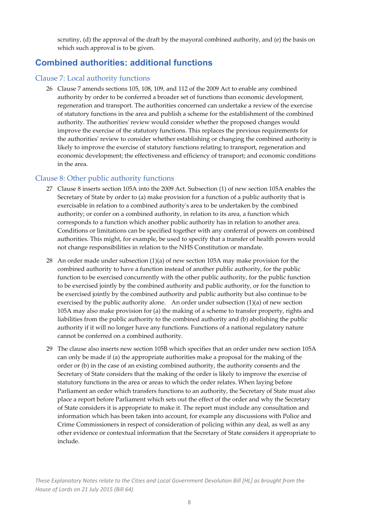scrutiny, (d) the approval of the draft by the mayoral combined authority, and (e) the basis on which such approval is to be given.

## **Combined authorities: additional functions**

#### Clause 7: Local authority functions

26 Clause 7 amends sections 105, 108, 109, and 112 of the 2009 Act to enable any combined authority by order to be conferred a broader set of functions than economic development, regeneration and transport. The authorities concerned can undertake a review of the exercise of statutory functions in the area and publish a scheme for the establishment of the combined authority. The authoritiesʹ review would consider whether the proposed changes would improve the exercise of the statutory functions. This replaces the previous requirements for the authoritiesʹ review to consider whether establishing or changing the combined authority is likely to improve the exercise of statutory functions relating to transport, regeneration and economic development; the effectiveness and efficiency of transport; and economic conditions in the area.

## Clause 8: Other public authority functions

- 27 Clause 8 inserts section 105A into the 2009 Act. Subsection (1) of new section 105A enables the Secretary of State by order to (a) make provision for a function of a public authority that is exercisable in relation to a combined authorityʹs area to be undertaken by the combined authority; or confer on a combined authority, in relation to its area, a function which corresponds to a function which another public authority has in relation to another area. Conditions or limitations can be specified together with any conferral of powers on combined authorities. This might, for example, be used to specify that a transfer of health powers would not change responsibilities in relation to the NHS Constitution or mandate.
- 28 An order made under subsection (1)(a) of new section 105A may make provision for the combined authority to have a function instead of another public authority, for the public function to be exercised concurrently with the other public authority, for the public function to be exercised jointly by the combined authority and public authority, or for the function to be exercised jointly by the combined authority and public authority but also continue to be exercised by the public authority alone. An order under subsection (1)(a) of new section 105A may also make provision for (a) the making of a scheme to transfer property, rights and liabilities from the public authority to the combined authority and (b) abolishing the public authority if it will no longer have any functions. Functions of a national regulatory nature cannot be conferred on a combined authority.
- 29 The clause also inserts new section 105B which specifies that an order under new section 105A can only be made if (a) the appropriate authorities make a proposal for the making of the order or (b) in the case of an existing combined authority, the authority consents and the Secretary of State considers that the making of the order is likely to improve the exercise of statutory functions in the area or areas to which the order relates. When laying before Parliament an order which transfers functions to an authority, the Secretary of State must also place a report before Parliament which sets out the effect of the order and why the Secretary of State considers it is appropriate to make it. The report must include any consultation and information which has been taken into account, for example any discussions with Police and Crime Commissioners in respect of consideration of policing within any deal, as well as any other evidence or contextual information that the Secretary of State considers it appropriate to include.

These Explanatory Notes relate to the Cities and Local Government Devolution Bill [HL] as brought from the *House of Lords on 21 July 2015 (Bill 64)*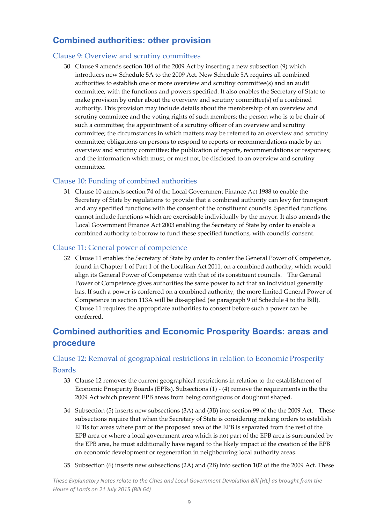## **Combined authorities: other provision**

## Clause 9: Overview and scrutiny committees

30 Clause 9 amends section 104 of the 2009 Act by inserting a new subsection (9) which introduces new Schedule 5A to the 2009 Act. New Schedule 5A requires all combined authorities to establish one or more overview and scrutiny committee(s) and an audit committee, with the functions and powers specified. It also enables the Secretary of State to make provision by order about the overview and scrutiny committee(s) of a combined authority. This provision may include details about the membership of an overview and scrutiny committee and the voting rights of such members; the person who is to be chair of such a committee; the appointment of a scrutiny officer of an overview and scrutiny committee; the circumstances in which matters may be referred to an overview and scrutiny committee; obligations on persons to respond to reports or recommendations made by an overview and scrutiny committee; the publication of reports, recommendations or responses; and the information which must, or must not, be disclosed to an overview and scrutiny committee.

## Clause 10: Funding of combined authorities

31 Clause 10 amends section 74 of the Local Government Finance Act 1988 to enable the Secretary of State by regulations to provide that a combined authority can levy for transport and any specified functions with the consent of the constituent councils. Specified functions cannot include functions which are exercisable individually by the mayor. It also amends the Local Government Finance Act 2003 enabling the Secretary of State by order to enable a combined authority to borrow to fund these specified functions, with councilsʹ consent.

## Clause 11: General power of competence

32 Clause 11 enables the Secretary of State by order to confer the General Power of Competence, found in Chapter 1 of Part 1 of the Localism Act 2011, on a combined authority, which would align its General Power of Competence with that of its constituent councils. The General Power of Competence gives authorities the same power to act that an individual generally has. If such a power is conferred on a combined authority, the more limited General Power of Competence in section 113A will be dis‐applied (se paragraph 9 of Schedule 4 to the Bill). Clause 11 requires the appropriate authorities to consent before such a power can be conferred.

## **Combined authorities and Economic Prosperity Boards: areas and procedure**

## Clause 12: Removal of geographical restrictions in relation to Economic Prosperity Boards

## 33 Clause 12 removes the current geographical restrictions in relation to the establishment of Economic Prosperity Boards (EPBs). Subsections (1) ‐ (4) remove the requirements in the the 2009 Act which prevent EPB areas from being contiguous or doughnut shaped.

- 34 Subsection (5) inserts new subsections (3A) and (3B) into section 99 of the the 2009 Act. These subsections require that when the Secretary of State is considering making orders to establish EPBs for areas where part of the proposed area of the EPB is separated from the rest of the EPB area or where a local government area which is not part of the EPB area is surrounded by the EPB area, he must additionally have regard to the likely impact of the creation of the EPB on economic development or regeneration in neighbouring local authority areas.
- 35 Subsection (6) inserts new subsections (2A) and (2B) into section 102 of the the 2009 Act. These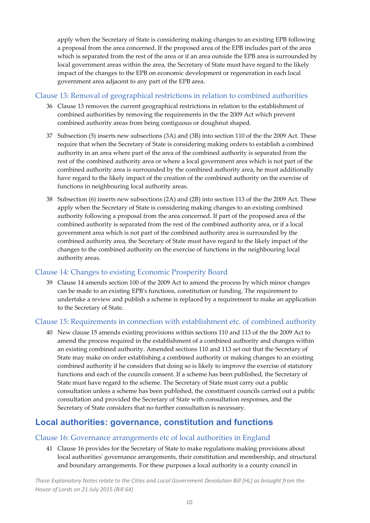apply when the Secretary of State is considering making changes to an existing EPB following a proposal from the area concerned. If the proposed area of the EPB includes part of the area which is separated from the rest of the area or if an area outside the EPB area is surrounded by local government areas within the area, the Secretary of State must have regard to the likely impact of the changes to the EPB on economic development or regeneration in each local government area adjacent to any part of the EPB area.

## Clause 13: Removal of geographical restrictions in relation to combined authorities

- 36 Clause 13 removes the current geographical restrictions in relation to the establishment of combined authorities by removing the requirements in the the 2009 Act which prevent combined authority areas from being contiguous or doughnut shaped.
- 37 Subsection (5) inserts new subsections (3A) and (3B) into section 110 of the the 2009 Act. These require that when the Secretary of State is considering making orders to establish a combined authority in an area where part of the area of the combined authority is separated from the rest of the combined authority area or where a local government area which is not part of the combined authority area is surrounded by the combined authority area, he must additionally have regard to the likely impact of the creation of the combined authority on the exercise of functions in neighbouring local authority areas.
- 38 Subsection (6) inserts new subsections (2A) and (2B) into section 113 of the the 2009 Act. These apply when the Secretary of State is considering making changes to an existing combined authority following a proposal from the area concerned. If part of the proposed area of the combined authority is separated from the rest of the combined authority area, or if a local government area which is not part of the combined authority area is surrounded by the combined authority area, the Secretary of State must have regard to the likely impact of the changes to the combined authority on the exercise of functions in the neighbouring local authority areas.

## Clause 14: Changes to existing Economic Prosperity Board

39 Clause 14 amends section 100 of the 2009 Act to amend the process by which minor changes can be made to an existing EPBʹs functions, constitution or funding. The requirement to undertake a review and publish a scheme is replaced by a requirement to make an application to the Secretary of State.

## Clause 15: Requirements in connection with establishment etc. of combined authority

40 New clause 15 amends existing provisions within sections 110 and 113 of the the 2009 Act to amend the process required in the establishment of a combined authority and changes within an existing combined authority. Amended sections 110 and 113 set out that the Secretary of State may make on order establishing a combined authority or making changes to an existing combined authority if he considers that doing so is likely to improve the exercise of statutory functions and each of the councils consent. If a scheme has been published, the Secretary of State must have regard to the scheme. The Secretary of State must carry out a public consultation unless a scheme has been published, the constituent councils carried out a public consultation and provided the Secretary of State with consultation responses, and the Secretary of State considers that no further consultation is necessary.

## **Local authorities: governance, constitution and functions**

## Clause 16: Governance arrangements etc of local authorities in England

41 Clause 16 provides for the Secretary of State to make regulations making provisions about local authorities' governance arrangements, their constitution and membership, and structural and boundary arrangements. For these purposes a local authority is a county council in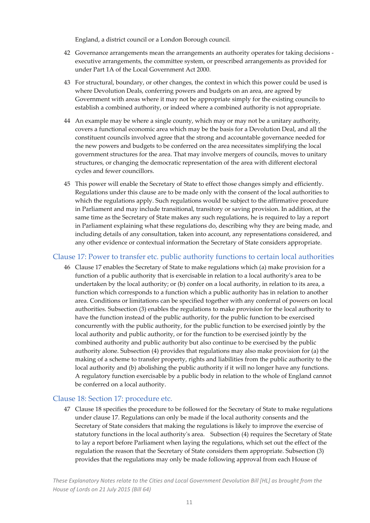England, a district council or a London Borough council.

- 42 Governance arrangements mean the arrangements an authority operates for taking decisions ‐ executive arrangements, the committee system, or prescribed arrangements as provided for under Part 1A of the Local Government Act 2000.
- 43 For structural, boundary, or other changes, the context in which this power could be used is where Devolution Deals, conferring powers and budgets on an area, are agreed by Government with areas where it may not be appropriate simply for the existing councils to establish a combined authority, or indeed where a combined authority is not appropriate.
- 44 An example may be where a single county, which may or may not be a unitary authority, covers a functional economic area which may be the basis for a Devolution Deal, and all the constituent councils involved agree that the strong and accountable governance needed for the new powers and budgets to be conferred on the area necessitates simplifying the local government structures for the area. That may involve mergers of councils, moves to unitary structures, or changing the democratic representation of the area with different electoral cycles and fewer councillors.
- 45 This power will enable the Secretary of State to effect those changes simply and efficiently. Regulations under this clause are to be made only with the consent of the local authorities to which the regulations apply. Such regulations would be subject to the affirmative procedure in Parliament and may include transitional, transitory or saving provision. In addition, at the same time as the Secretary of State makes any such regulations, he is required to lay a report in Parliament explaining what these regulations do, describing why they are being made, and including details of any consultation, taken into account, any representations considered, and any other evidence or contextual information the Secretary of State considers appropriate.

#### Clause 17: Power to transfer etc. public authority functions to certain local authorities

46 Clause 17 enables the Secretary of State to make regulations which (a) make provision for a function of a public authority that is exercisable in relation to a local authorityʹs area to be undertaken by the local authority; or (b) confer on a local authority, in relation to its area, a function which corresponds to a function which a public authority has in relation to another area. Conditions or limitations can be specified together with any conferral of powers on local authorities. Subsection (3) enables the regulations to make provision for the local authority to have the function instead of the public authority, for the public function to be exercised concurrently with the public authority, for the public function to be exercised jointly by the local authority and public authority, or for the function to be exercised jointly by the combined authority and public authority but also continue to be exercised by the public authority alone. Subsection (4) provides that regulations may also make provision for (a) the making of a scheme to transfer property, rights and liabilities from the public authority to the local authority and (b) abolishing the public authority if it will no longer have any functions. A regulatory function exercisable by a public body in relation to the whole of England cannot be conferred on a local authority.

#### Clause 18: Section 17: procedure etc.

47 Clause 18 specifies the procedure to be followed for the Secretary of State to make regulations under clause 17. Regulations can only be made if the local authority consents and the Secretary of State considers that making the regulations is likely to improve the exercise of statutory functions in the local authority's area. Subsection (4) requires the Secretary of State to lay a report before Parliament when laying the regulations, which set out the effect of the regulation the reason that the Secretary of State considers them appropriate. Subsection (3) provides that the regulations may only be made following approval from each House of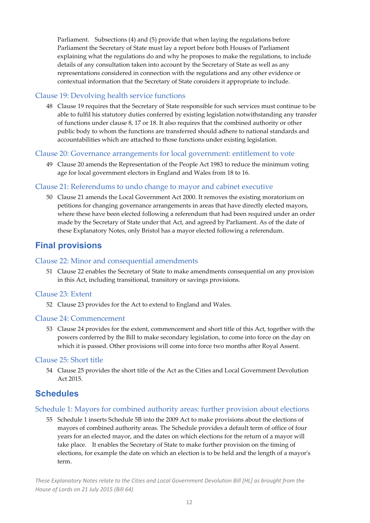Parliament. Subsections (4) and (5) provide that when laying the regulations before Parliament the Secretary of State must lay a report before both Houses of Parliament explaining what the regulations do and why he proposes to make the regulations, to include details of any consultation taken into account by the Secretary of State as well as any representations considered in connection with the regulations and any other evidence or contextual information that the Secretary of State considers it appropriate to include.

### Clause 19: Devolving health service functions

48 Clause 19 requires that the Secretary of State responsible for such services must continue to be able to fulfil his statutory duties conferred by existing legislation notwithstanding any transfer of functions under clause 8, 17 or 18. It also requires that the combined authority or other public body to whom the functions are transferred should adhere to national standards and accountabilities which are attached to those functions under existing legislation.

#### Clause 20: Governance arrangements for local government: entitlement to vote

49 Clause 20 amends the Representation of the People Act 1983 to reduce the minimum voting age for local government electors in England and Wales from 18 to 16.

#### Clause 21: Referendums to undo change to mayor and cabinet executive

50 Clause 21 amends the Local Government Act 2000. It removes the existing moratorium on petitions for changing governance arrangements in areas that have directly elected mayors, where these have been elected following a referendum that had been required under an order made by the Secretary of State under that Act, and agreed by Parliament. As of the date of these Explanatory Notes, only Bristol has a mayor elected following a referendum.

## **Final provisions**

#### Clause 22: Minor and consequential amendments

51 Clause 22 enables the Secretary of State to make amendments consequential on any provision in this Act, including transitional, transitory or savings provisions.

#### Clause 23: Extent

52 Clause 23 provides for the Act to extend to England and Wales.

#### Clause 24: Commencement

53 Clause 24 provides for the extent, commencement and short title of this Act, together with the powers conferred by the Bill to make secondary legislation, to come into force on the day on which it is passed. Other provisions will come into force two months after Royal Assent.

#### Clause 25: Short title

54 Clause 25 provides the short title of the Act as the Cities and Local Government Devolution Act 2015.

## **Schedules**

#### Schedule 1: Mayors for combined authority areas: further provision about elections

55 Schedule 1 inserts Schedule 5B into the 2009 Act to make provisions about the elections of mayors of combined authority areas. The Schedule provides a default term of office of four years for an elected mayor, and the dates on which elections for the return of a mayor will take place. It enables the Secretary of State to make further provision on the timing of elections, for example the date on which an election is to be held and the length of a mayorʹs term.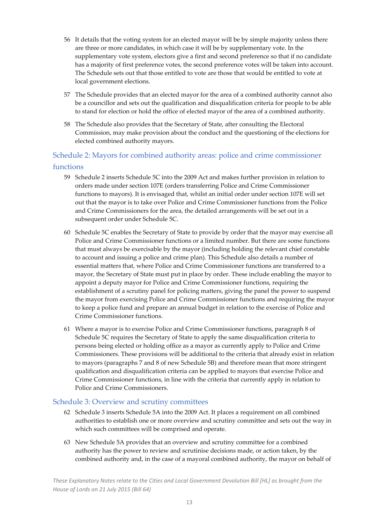- 56 It details that the voting system for an elected mayor will be by simple majority unless there are three or more candidates, in which case it will be by supplementary vote. In the supplementary vote system, electors give a first and second preference so that if no candidate has a majority of first preference votes, the second preference votes will be taken into account. The Schedule sets out that those entitled to vote are those that would be entitled to vote at local government elections.
- 57 The Schedule provides that an elected mayor for the area of a combined authority cannot also be a councillor and sets out the qualification and disqualification criteria for people to be able to stand for election or hold the office of elected mayor of the area of a combined authority.
- 58 The Schedule also provides that the Secretary of State, after consulting the Electoral Commission, may make provision about the conduct and the questioning of the elections for elected combined authority mayors.

## Schedule 2: Mayors for combined authority areas: police and crime commissioner functions

- 59 Schedule 2 inserts Schedule 5C into the 2009 Act and makes further provision in relation to orders made under section 107E (orders transferring Police and Crime Commissioner functions to mayors). It is envisaged that, whilst an initial order under section 107E will set out that the mayor is to take over Police and Crime Commissioner functions from the Police and Crime Commissioners for the area, the detailed arrangements will be set out in a subsequent order under Schedule 5C.
- 60 Schedule 5C enables the Secretary of State to provide by order that the mayor may exercise all Police and Crime Commissioner functions or a limited number. But there are some functions that must always be exercisable by the mayor (including holding the relevant chief constable to account and issuing a police and crime plan). This Schedule also details a number of essential matters that, where Police and Crime Commissioner functions are transferred to a mayor, the Secretary of State must put in place by order. These include enabling the mayor to appoint a deputy mayor for Police and Crime Commissioner functions, requiring the establishment of a scrutiny panel for policing matters, giving the panel the power to suspend the mayor from exercising Police and Crime Commissioner functions and requiring the mayor to keep a police fund and prepare an annual budget in relation to the exercise of Police and Crime Commissioner functions.
- 61 Where a mayor is to exercise Police and Crime Commissioner functions, paragraph 8 of Schedule 5C requires the Secretary of State to apply the same disqualification criteria to persons being elected or holding office as a mayor as currently apply to Police and Crime Commissioners. These provisions will be additional to the criteria that already exist in relation to mayors (paragraphs 7 and 8 of new Schedule 5B) and therefore mean that more stringent qualification and disqualification criteria can be applied to mayors that exercise Police and Crime Commissioner functions, in line with the criteria that currently apply in relation to Police and Crime Commissioners.

## Schedule 3: Overview and scrutiny committees

- 62 Schedule 3 inserts Schedule 5A into the 2009 Act. It places a requirement on all combined authorities to establish one or more overview and scrutiny committee and sets out the way in which such committees will be comprised and operate.
- 63 New Schedule 5A provides that an overview and scrutiny committee for a combined authority has the power to review and scrutinise decisions made, or action taken, by the combined authority and, in the case of a mayoral combined authority, the mayor on behalf of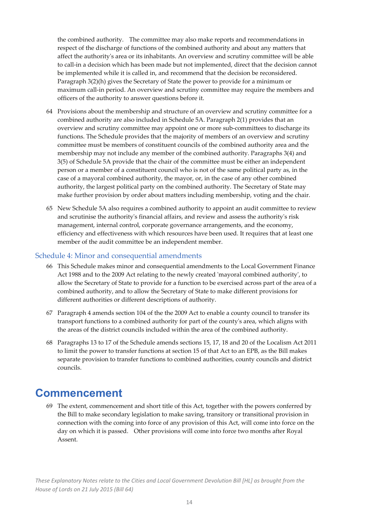the combined authority. The committee may also make reports and recommendations in respect of the discharge of functions of the combined authority and about any matters that affect the authorityʹs area or its inhabitants. An overview and scrutiny committee will be able to call‐in a decision which has been made but not implemented, direct that the decision cannot be implemented while it is called in, and recommend that the decision be reconsidered. Paragraph 3(2)(h) gives the Secretary of State the power to provide for a minimum or maximum call‐in period. An overview and scrutiny committee may require the members and officers of the authority to answer questions before it.

- 64 Provisions about the membership and structure of an overview and scrutiny committee for a combined authority are also included in Schedule 5A. Paragraph 2(1) provides that an overview and scrutiny committee may appoint one or more sub‐committees to discharge its functions. The Schedule provides that the majority of members of an overview and scrutiny committee must be members of constituent councils of the combined authority area and the membership may not include any member of the combined authority. Paragraphs 3(4) and 3(5) of Schedule 5A provide that the chair of the committee must be either an independent person or a member of a constituent council who is not of the same political party as, in the case of a mayoral combined authority, the mayor, or, in the case of any other combined authority, the largest political party on the combined authority. The Secretary of State may make further provision by order about matters including membership, voting and the chair.
- 65 New Schedule 5A also requires a combined authority to appoint an audit committee to review and scrutinise the authorityʹs financial affairs, and review and assess the authorityʹs risk management, internal control, corporate governance arrangements, and the economy, efficiency and effectiveness with which resources have been used. It requires that at least one member of the audit committee be an independent member.

## Schedule 4: Minor and consequential amendments

- 66 This Schedule makes minor and consequential amendments to the Local Government Finance Act 1988 and to the 2009 Act relating to the newly created 'mayoral combined authority', to allow the Secretary of State to provide for a function to be exercised across part of the area of a combined authority, and to allow the Secretary of State to make different provisions for different authorities or different descriptions of authority.
- 67 Paragraph 4 amends section 104 of the the 2009 Act to enable a county council to transfer its transport functions to a combined authority for part of the countyʹs area, which aligns with the areas of the district councils included within the area of the combined authority.
- 68 Paragraphs 13 to 17 of the Schedule amends sections 15, 17, 18 and 20 of the Localism Act 2011 to limit the power to transfer functions at section 15 of that Act to an EPB, as the Bill makes separate provision to transfer functions to combined authorities, county councils and district councils.

## **Commencement**

69 The extent, commencement and short title of this Act, together with the powers conferred by the Bill to make secondary legislation to make saving, transitory or transitional provision in connection with the coming into force of any provision of this Act, will come into force on the day on which it is passed. Other provisions will come into force two months after Royal Assent.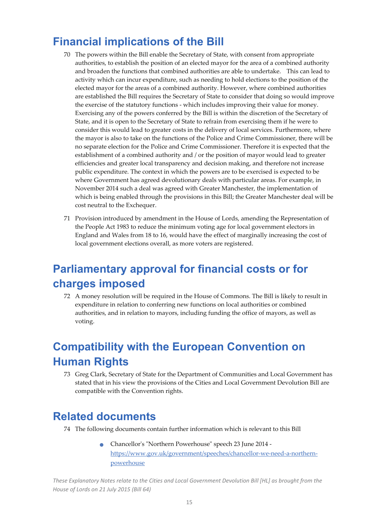## **Financial implications of the Bill**

- 70 The powers within the Bill enable the Secretary of State, with consent from appropriate authorities, to establish the position of an elected mayor for the area of a combined authority and broaden the functions that combined authorities are able to undertake. This can lead to activity which can incur expenditure, such as needing to hold elections to the position of the elected mayor for the areas of a combined authority. However, where combined authorities are established the Bill requires the Secretary of State to consider that doing so would improve the exercise of the statutory functions ‐ which includes improving their value for money. Exercising any of the powers conferred by the Bill is within the discretion of the Secretary of State, and it is open to the Secretary of State to refrain from exercising them if he were to consider this would lead to greater costs in the delivery of local services. Furthermore, where the mayor is also to take on the functions of the Police and Crime Commissioner, there will be no separate election for the Police and Crime Commissioner. Therefore it is expected that the establishment of a combined authority and / or the position of mayor would lead to greater efficiencies and greater local transparency and decision making, and therefore not increase public expenditure. The context in which the powers are to be exercised is expected to be where Government has agreed devolutionary deals with particular areas. For example, in November 2014 such a deal was agreed with Greater Manchester, the implementation of which is being enabled through the provisions in this Bill; the Greater Manchester deal will be cost neutral to the Exchequer.
- 71 Provision introduced by amendment in the House of Lords, amending the Representation of the People Act 1983 to reduce the minimum voting age for local government electors in England and Wales from 18 to 16, would have the effect of marginally increasing the cost of local government elections overall, as more voters are registered.

## **Parliamentary approval for financial costs or for charges imposed**

72 A money resolution will be required in the House of Commons. The Bill is likely to result in expenditure in relation to conferring new functions on local authorities or combined authorities, and in relation to mayors, including funding the office of mayors, as well as voting.

## **Compatibility with the European Convention on Human Rights**

73 Greg Clark, Secretary of State for the Department of Communities and Local Government has stated that in his view the provisions of the Cities and Local Government Devolution Bill are compatible with the Convention rights.

## **Related documents**

- 74 The following documents contain further information which is relevant to this Bill
	- Chancellor's "Northern Powerhouse" speech 23 June 2014 https://www.gov.uk/government/speeches/chancellor‐we‐need‐a‐northern‐ powerhouse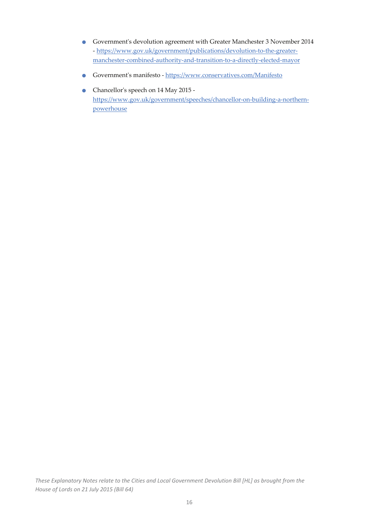- Governmentʹ<sup>s</sup> devolution agreement with Greater Manchester <sup>3</sup> November <sup>2014</sup> - https://www.gov.uk/government/publications/devolution-to-the-greatermanchester-combined-authority-and-transition-to-a-directly-elected-mayor
- Government's manifesto https://www.conservatives.com/Manifesto
- Chancellor's speech on 14 May 2015 https://www.gov.uk/government/speeches/chancellor‐on‐building‐a‐northern‐ powerhouse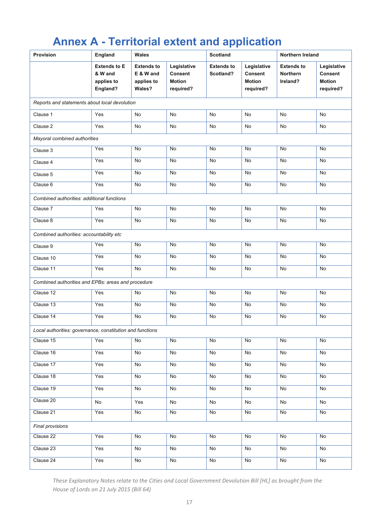## **Annex A - Territorial extent and application**

| <b>Provision</b>                                          | England                                                  | Wales                                                  |                                                      | <b>Scotland</b>                |                                                      | Northern Ireland                                 |                                                             |
|-----------------------------------------------------------|----------------------------------------------------------|--------------------------------------------------------|------------------------------------------------------|--------------------------------|------------------------------------------------------|--------------------------------------------------|-------------------------------------------------------------|
|                                                           | <b>Extends to E</b><br>& W and<br>applies to<br>England? | <b>Extends to</b><br>E & W and<br>applies to<br>Wales? | Legislative<br>Consent<br><b>Motion</b><br>required? | <b>Extends to</b><br>Scotland? | Legislative<br>Consent<br><b>Motion</b><br>required? | <b>Extends to</b><br><b>Northern</b><br>Ireland? | Legislative<br><b>Consent</b><br><b>Motion</b><br>required? |
| Reports and statements about local devolution             |                                                          |                                                        |                                                      |                                |                                                      |                                                  |                                                             |
| Clause 1                                                  | Yes                                                      | <b>No</b>                                              | N <sub>o</sub>                                       | No                             | <b>No</b>                                            | No                                               | <b>No</b>                                                   |
| Clause 2                                                  | Yes                                                      | No                                                     | No                                                   | No                             | No                                                   | No                                               | No                                                          |
| Mayoral combined authorities                              |                                                          |                                                        |                                                      |                                |                                                      |                                                  |                                                             |
| Clause 3                                                  | Yes                                                      | No                                                     | No                                                   | No                             | No                                                   | No                                               | No                                                          |
| Clause 4                                                  | Yes                                                      | No                                                     | No                                                   | No                             | No                                                   | No                                               | No                                                          |
| Clause 5                                                  | Yes                                                      | No                                                     | No                                                   | No                             | No                                                   | No                                               | No                                                          |
| Clause 6                                                  | Yes                                                      | No                                                     | No                                                   | No                             | No                                                   | No                                               | No                                                          |
| Combined authorities: additional functions                |                                                          |                                                        |                                                      |                                |                                                      |                                                  |                                                             |
| Clause 7                                                  | Yes                                                      | No                                                     | No                                                   | No                             | No                                                   | <b>No</b>                                        | No                                                          |
| Clause 8                                                  | Yes                                                      | No                                                     | No                                                   | No                             | No                                                   | No                                               | No                                                          |
| Combined authorities: accountability etc                  |                                                          |                                                        |                                                      |                                |                                                      |                                                  |                                                             |
| Clause 9                                                  | Yes                                                      | No                                                     | No                                                   | No                             | No                                                   | No                                               | No                                                          |
| Clause 10                                                 | Yes                                                      | No                                                     | No                                                   | No                             | No                                                   | No                                               | No                                                          |
| Clause 11                                                 | Yes                                                      | No                                                     | No                                                   | No                             | No                                                   | No                                               | No                                                          |
| Combined authorities and EPBs: areas and procedure        |                                                          |                                                        |                                                      |                                |                                                      |                                                  |                                                             |
| Clause 12                                                 | Yes                                                      | No.                                                    | No                                                   | No                             | No                                                   | <b>No</b>                                        | No                                                          |
| Clause 13                                                 | Yes                                                      | <b>No</b>                                              | No                                                   | No                             | No                                                   | <b>No</b>                                        | <b>No</b>                                                   |
| Clause 14                                                 | Yes                                                      | No                                                     | No                                                   | No                             | No                                                   | No                                               | No                                                          |
| Local authorities: governance, constitution and functions |                                                          |                                                        |                                                      |                                |                                                      |                                                  |                                                             |
| Clause 15                                                 | Yes                                                      | No                                                     | N <sub>o</sub>                                       | No                             | No                                                   | No                                               | No                                                          |
| Clause 16                                                 | Yes                                                      | No                                                     | No                                                   | No                             | No                                                   | No                                               | No                                                          |
| Clause 17                                                 | Yes                                                      | No                                                     | No                                                   | No                             | No                                                   | No                                               | No                                                          |
| Clause 18                                                 | Yes                                                      | No                                                     | No                                                   | No                             | No                                                   | No                                               | No                                                          |
| Clause 19                                                 | Yes                                                      | No                                                     | No                                                   | No                             | No                                                   | No                                               | No                                                          |
| Clause 20                                                 | No                                                       | Yes                                                    | No                                                   | No                             | No                                                   | No                                               | No                                                          |
| Clause 21                                                 | Yes                                                      | No                                                     | No                                                   | No                             | No                                                   | No                                               | No                                                          |
| Final provisions                                          |                                                          |                                                        |                                                      |                                |                                                      |                                                  |                                                             |
| Clause 22                                                 | Yes                                                      | No                                                     | No                                                   | No                             | No                                                   | No                                               | No                                                          |
| Clause 23                                                 | Yes                                                      | No                                                     | No                                                   | No                             | No                                                   | No                                               | No                                                          |
| Clause 24                                                 | Yes                                                      | No                                                     | No                                                   | No                             | No                                                   | No                                               | No                                                          |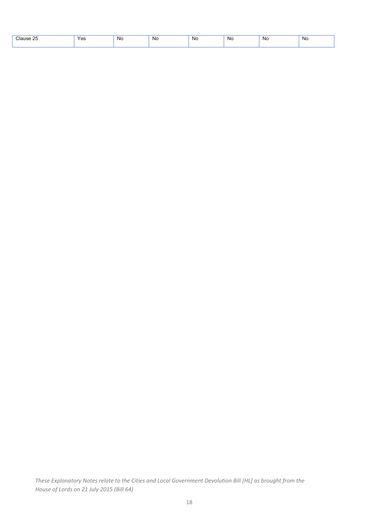| Clause 25 | Yes | N0. | Nc | No. | . No | <b>NC</b> | No |
|-----------|-----|-----|----|-----|------|-----------|----|
|           |     |     |    |     |      |           |    |